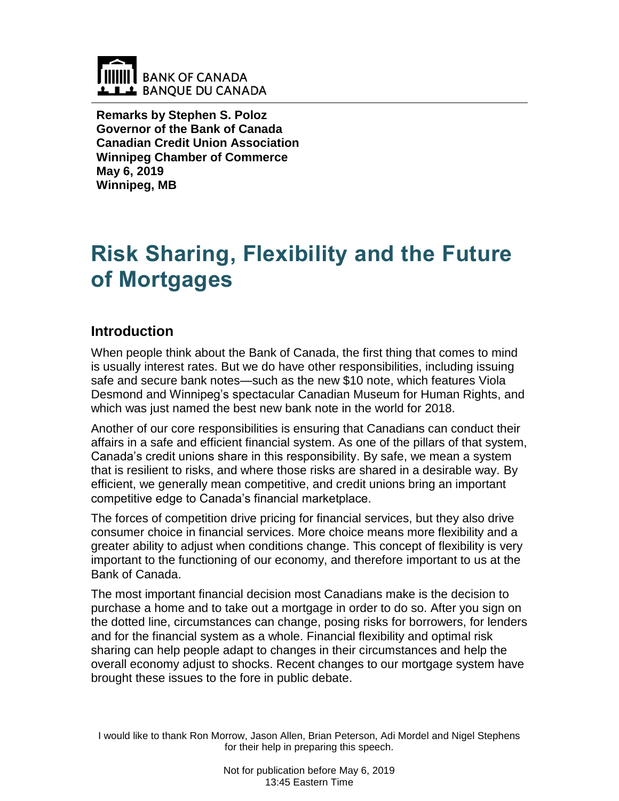

**Remarks by Stephen S. Poloz Governor of the Bank of Canada Canadian Credit Union Association Winnipeg Chamber of Commerce May 6, 2019 Winnipeg, MB**

# **Risk Sharing, Flexibility and the Future of Mortgages**

## **Introduction**

When people think about the Bank of Canada, the first thing that comes to mind is usually interest rates. But we do have other responsibilities, including issuing safe and secure bank notes—such as the new \$10 note, which features Viola Desmond and Winnipeg's spectacular Canadian Museum for Human Rights, and which was just named the best new bank note in the world for 2018.

Another of our core responsibilities is ensuring that Canadians can conduct their affairs in a safe and efficient financial system. As one of the pillars of that system, Canada's credit unions share in this responsibility. By safe, we mean a system that is resilient to risks, and where those risks are shared in a desirable way. By efficient, we generally mean competitive, and credit unions bring an important competitive edge to Canada's financial marketplace.

The forces of competition drive pricing for financial services, but they also drive consumer choice in financial services. More choice means more flexibility and a greater ability to adjust when conditions change. This concept of flexibility is very important to the functioning of our economy, and therefore important to us at the Bank of Canada.

The most important financial decision most Canadians make is the decision to purchase a home and to take out a mortgage in order to do so. After you sign on the dotted line, circumstances can change, posing risks for borrowers, for lenders and for the financial system as a whole. Financial flexibility and optimal risk sharing can help people adapt to changes in their circumstances and help the overall economy adjust to shocks. Recent changes to our mortgage system have brought these issues to the fore in public debate.

I would like to thank Ron Morrow, Jason Allen, Brian Peterson, Adi Mordel and Nigel Stephens for their help in preparing this speech.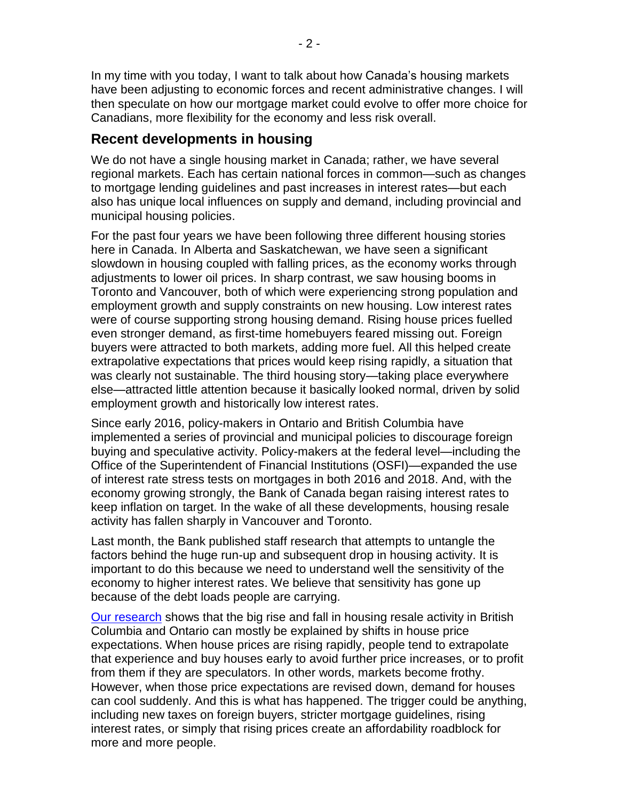In my time with you today, I want to talk about how Canada's housing markets have been adjusting to economic forces and recent administrative changes. I will then speculate on how our mortgage market could evolve to offer more choice for Canadians, more flexibility for the economy and less risk overall.

## **Recent developments in housing**

We do not have a single housing market in Canada; rather, we have several regional markets. Each has certain national forces in common—such as changes to mortgage lending guidelines and past increases in interest rates—but each also has unique local influences on supply and demand, including provincial and municipal housing policies.

For the past four years we have been following three different housing stories here in Canada. In Alberta and Saskatchewan, we have seen a significant slowdown in housing coupled with falling prices, as the economy works through adjustments to lower oil prices. In sharp contrast, we saw housing booms in Toronto and Vancouver, both of which were experiencing strong population and employment growth and supply constraints on new housing. Low interest rates were of course supporting strong housing demand. Rising house prices fuelled even stronger demand, as first-time homebuyers feared missing out. Foreign buyers were attracted to both markets, adding more fuel. All this helped create extrapolative expectations that prices would keep rising rapidly, a situation that was clearly not sustainable. The third housing story—taking place everywhere else—attracted little attention because it basically looked normal, driven by solid employment growth and historically low interest rates.

Since early 2016, policy-makers in Ontario and British Columbia have implemented a series of provincial and municipal policies to discourage foreign buying and speculative activity. Policy-makers at the federal level—including the Office of the Superintendent of Financial Institutions (OSFI)—expanded the use of interest rate stress tests on mortgages in both 2016 and 2018. And, with the economy growing strongly, the Bank of Canada began raising interest rates to keep inflation on target. In the wake of all these developments, housing resale activity has fallen sharply in Vancouver and Toronto.

Last month, the Bank published staff research that attempts to untangle the factors behind the huge run-up and subsequent drop in housing activity. It is important to do this because we need to understand well the sensitivity of the economy to higher interest rates. We believe that sensitivity has gone up because of the debt loads people are carrying.

[Our research](https://www.bankofcanada.ca/2019/04/staff-analytical-note-2019-12/) shows that the big rise and fall in housing resale activity in British Columbia and Ontario can mostly be explained by shifts in house price expectations. When house prices are rising rapidly, people tend to extrapolate that experience and buy houses early to avoid further price increases, or to profit from them if they are speculators. In other words, markets become frothy. However, when those price expectations are revised down, demand for houses can cool suddenly. And this is what has happened. The trigger could be anything, including new taxes on foreign buyers, stricter mortgage guidelines, rising interest rates, or simply that rising prices create an affordability roadblock for more and more people.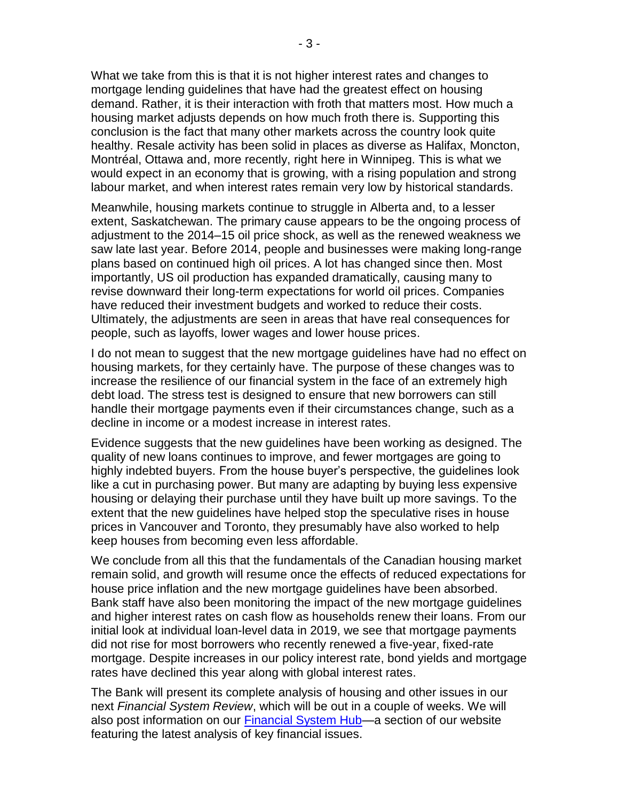What we take from this is that it is not higher interest rates and changes to mortgage lending guidelines that have had the greatest effect on housing demand. Rather, it is their interaction with froth that matters most. How much a housing market adjusts depends on how much froth there is. Supporting this conclusion is the fact that many other markets across the country look quite healthy. Resale activity has been solid in places as diverse as Halifax, Moncton, Montréal, Ottawa and, more recently, right here in Winnipeg. This is what we would expect in an economy that is growing, with a rising population and strong labour market, and when interest rates remain very low by historical standards.

Meanwhile, housing markets continue to struggle in Alberta and, to a lesser extent, Saskatchewan. The primary cause appears to be the ongoing process of adjustment to the 2014–15 oil price shock, as well as the renewed weakness we saw late last year. Before 2014, people and businesses were making long-range plans based on continued high oil prices. A lot has changed since then. Most importantly, US oil production has expanded dramatically, causing many to revise downward their long-term expectations for world oil prices. Companies have reduced their investment budgets and worked to reduce their costs. Ultimately, the adjustments are seen in areas that have real consequences for people, such as layoffs, lower wages and lower house prices.

I do not mean to suggest that the new mortgage guidelines have had no effect on housing markets, for they certainly have. The purpose of these changes was to increase the resilience of our financial system in the face of an extremely high debt load. The stress test is designed to ensure that new borrowers can still handle their mortgage payments even if their circumstances change, such as a decline in income or a modest increase in interest rates.

Evidence suggests that the new guidelines have been working as designed. The quality of new loans continues to improve, and fewer mortgages are going to highly indebted buyers. From the house buyer's perspective, the guidelines look like a cut in purchasing power. But many are adapting by buying less expensive housing or delaying their purchase until they have built up more savings. To the extent that the new guidelines have helped stop the speculative rises in house prices in Vancouver and Toronto, they presumably have also worked to help keep houses from becoming even less affordable.

We conclude from all this that the fundamentals of the Canadian housing market remain solid, and growth will resume once the effects of reduced expectations for house price inflation and the new mortgage guidelines have been absorbed. Bank staff have also been monitoring the impact of the new mortgage guidelines and higher interest rates on cash flow as households renew their loans. From our initial look at individual loan-level data in 2019, we see that mortgage payments did not rise for most borrowers who recently renewed a five-year, fixed-rate mortgage. Despite increases in our policy interest rate, bond yields and mortgage rates have declined this year along with global interest rates.

The Bank will present its complete analysis of housing and other issues in our next *Financial System Review*, which will be out in a couple of weeks. We will also post information on our **Financial System Hub**—a section of our website featuring the latest analysis of key financial issues.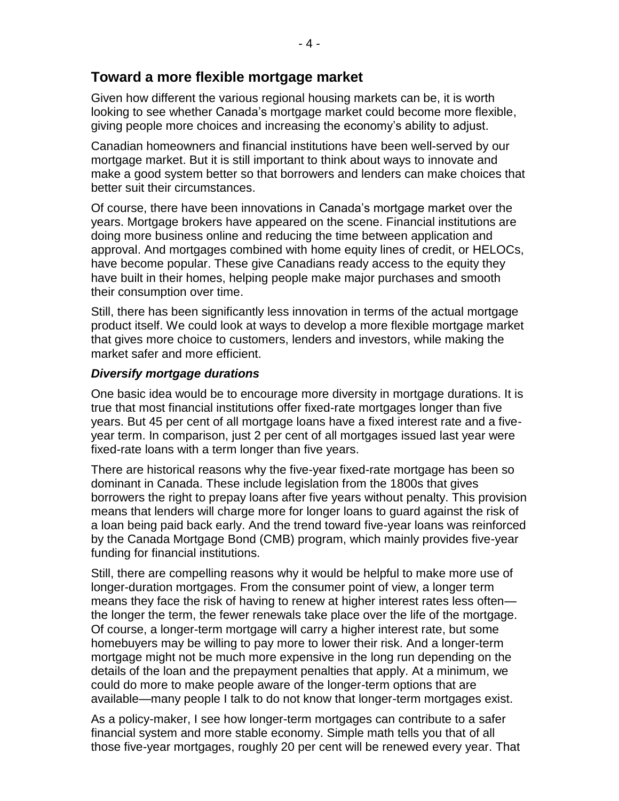## **Toward a more flexible mortgage market**

Given how different the various regional housing markets can be, it is worth looking to see whether Canada's mortgage market could become more flexible, giving people more choices and increasing the economy's ability to adjust.

Canadian homeowners and financial institutions have been well-served by our mortgage market. But it is still important to think about ways to innovate and make a good system better so that borrowers and lenders can make choices that better suit their circumstances.

Of course, there have been innovations in Canada's mortgage market over the years. Mortgage brokers have appeared on the scene. Financial institutions are doing more business online and reducing the time between application and approval. And mortgages combined with home equity lines of credit, or HELOCs, have become popular. These give Canadians ready access to the equity they have built in their homes, helping people make major purchases and smooth their consumption over time.

Still, there has been significantly less innovation in terms of the actual mortgage product itself. We could look at ways to develop a more flexible mortgage market that gives more choice to customers, lenders and investors, while making the market safer and more efficient.

#### *Diversify mortgage durations*

One basic idea would be to encourage more diversity in mortgage durations. It is true that most financial institutions offer fixed-rate mortgages longer than five years. But 45 per cent of all mortgage loans have a fixed interest rate and a fiveyear term. In comparison, just 2 per cent of all mortgages issued last year were fixed-rate loans with a term longer than five years.

There are historical reasons why the five-year fixed-rate mortgage has been so dominant in Canada. These include legislation from the 1800s that gives borrowers the right to prepay loans after five years without penalty. This provision means that lenders will charge more for longer loans to guard against the risk of a loan being paid back early. And the trend toward five-year loans was reinforced by the Canada Mortgage Bond (CMB) program, which mainly provides five-year funding for financial institutions.

Still, there are compelling reasons why it would be helpful to make more use of longer-duration mortgages. From the consumer point of view, a longer term means they face the risk of having to renew at higher interest rates less often the longer the term, the fewer renewals take place over the life of the mortgage. Of course, a longer-term mortgage will carry a higher interest rate, but some homebuyers may be willing to pay more to lower their risk. And a longer-term mortgage might not be much more expensive in the long run depending on the details of the loan and the prepayment penalties that apply. At a minimum, we could do more to make people aware of the longer-term options that are available—many people I talk to do not know that longer-term mortgages exist.

As a policy-maker, I see how longer-term mortgages can contribute to a safer financial system and more stable economy. Simple math tells you that of all those five-year mortgages, roughly 20 per cent will be renewed every year. That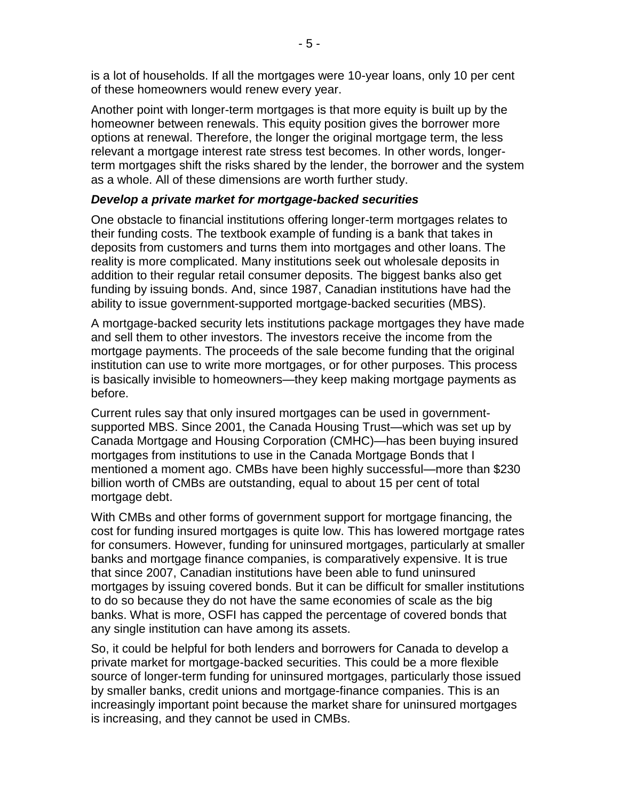is a lot of households. If all the mortgages were 10-year loans, only 10 per cent of these homeowners would renew every year.

Another point with longer-term mortgages is that more equity is built up by the homeowner between renewals. This equity position gives the borrower more options at renewal. Therefore, the longer the original mortgage term, the less relevant a mortgage interest rate stress test becomes. In other words, longerterm mortgages shift the risks shared by the lender, the borrower and the system as a whole. All of these dimensions are worth further study.

#### *Develop a private market for mortgage-backed securities*

One obstacle to financial institutions offering longer-term mortgages relates to their funding costs. The textbook example of funding is a bank that takes in deposits from customers and turns them into mortgages and other loans. The reality is more complicated. Many institutions seek out wholesale deposits in addition to their regular retail consumer deposits. The biggest banks also get funding by issuing bonds. And, since 1987, Canadian institutions have had the ability to issue government-supported mortgage-backed securities (MBS).

A mortgage-backed security lets institutions package mortgages they have made and sell them to other investors. The investors receive the income from the mortgage payments. The proceeds of the sale become funding that the original institution can use to write more mortgages, or for other purposes. This process is basically invisible to homeowners—they keep making mortgage payments as before.

Current rules say that only insured mortgages can be used in governmentsupported MBS. Since 2001, the Canada Housing Trust—which was set up by Canada Mortgage and Housing Corporation (CMHC)—has been buying insured mortgages from institutions to use in the Canada Mortgage Bonds that I mentioned a moment ago. CMBs have been highly successful—more than \$230 billion worth of CMBs are outstanding, equal to about 15 per cent of total mortgage debt.

With CMBs and other forms of government support for mortgage financing, the cost for funding insured mortgages is quite low. This has lowered mortgage rates for consumers. However, funding for uninsured mortgages, particularly at smaller banks and mortgage finance companies, is comparatively expensive. It is true that since 2007, Canadian institutions have been able to fund uninsured mortgages by issuing covered bonds. But it can be difficult for smaller institutions to do so because they do not have the same economies of scale as the big banks. What is more, OSFI has capped the percentage of covered bonds that any single institution can have among its assets.

So, it could be helpful for both lenders and borrowers for Canada to develop a private market for mortgage-backed securities. This could be a more flexible source of longer-term funding for uninsured mortgages, particularly those issued by smaller banks, credit unions and mortgage-finance companies. This is an increasingly important point because the market share for uninsured mortgages is increasing, and they cannot be used in CMBs.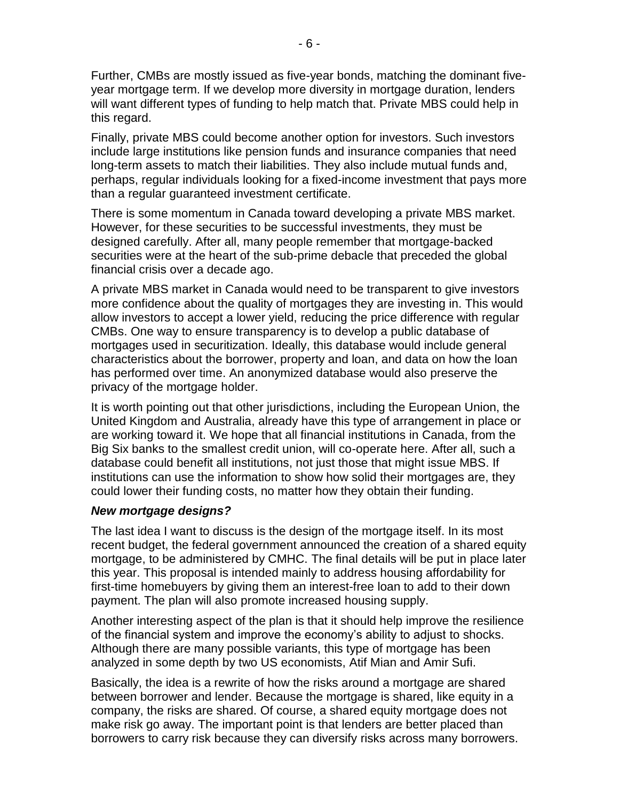Further, CMBs are mostly issued as five-year bonds, matching the dominant fiveyear mortgage term. If we develop more diversity in mortgage duration, lenders will want different types of funding to help match that. Private MBS could help in this regard.

Finally, private MBS could become another option for investors. Such investors include large institutions like pension funds and insurance companies that need long-term assets to match their liabilities. They also include mutual funds and, perhaps, regular individuals looking for a fixed-income investment that pays more than a regular guaranteed investment certificate.

There is some momentum in Canada toward developing a private MBS market. However, for these securities to be successful investments, they must be designed carefully. After all, many people remember that mortgage-backed securities were at the heart of the sub-prime debacle that preceded the global financial crisis over a decade ago.

A private MBS market in Canada would need to be transparent to give investors more confidence about the quality of mortgages they are investing in. This would allow investors to accept a lower yield, reducing the price difference with regular CMBs. One way to ensure transparency is to develop a public database of mortgages used in securitization. Ideally, this database would include general characteristics about the borrower, property and loan, and data on how the loan has performed over time. An anonymized database would also preserve the privacy of the mortgage holder.

It is worth pointing out that other jurisdictions, including the European Union, the United Kingdom and Australia, already have this type of arrangement in place or are working toward it. We hope that all financial institutions in Canada, from the Big Six banks to the smallest credit union, will co-operate here. After all, such a database could benefit all institutions, not just those that might issue MBS. If institutions can use the information to show how solid their mortgages are, they could lower their funding costs, no matter how they obtain their funding.

#### *New mortgage designs?*

The last idea I want to discuss is the design of the mortgage itself. In its most recent budget, the federal government announced the creation of a shared equity mortgage, to be administered by CMHC. The final details will be put in place later this year. This proposal is intended mainly to address housing affordability for first-time homebuyers by giving them an interest-free loan to add to their down payment. The plan will also promote increased housing supply.

Another interesting aspect of the plan is that it should help improve the resilience of the financial system and improve the economy's ability to adjust to shocks. Although there are many possible variants, this type of mortgage has been analyzed in some depth by two US economists, Atif Mian and Amir Sufi.

Basically, the idea is a rewrite of how the risks around a mortgage are shared between borrower and lender. Because the mortgage is shared, like equity in a company, the risks are shared. Of course, a shared equity mortgage does not make risk go away. The important point is that lenders are better placed than borrowers to carry risk because they can diversify risks across many borrowers.